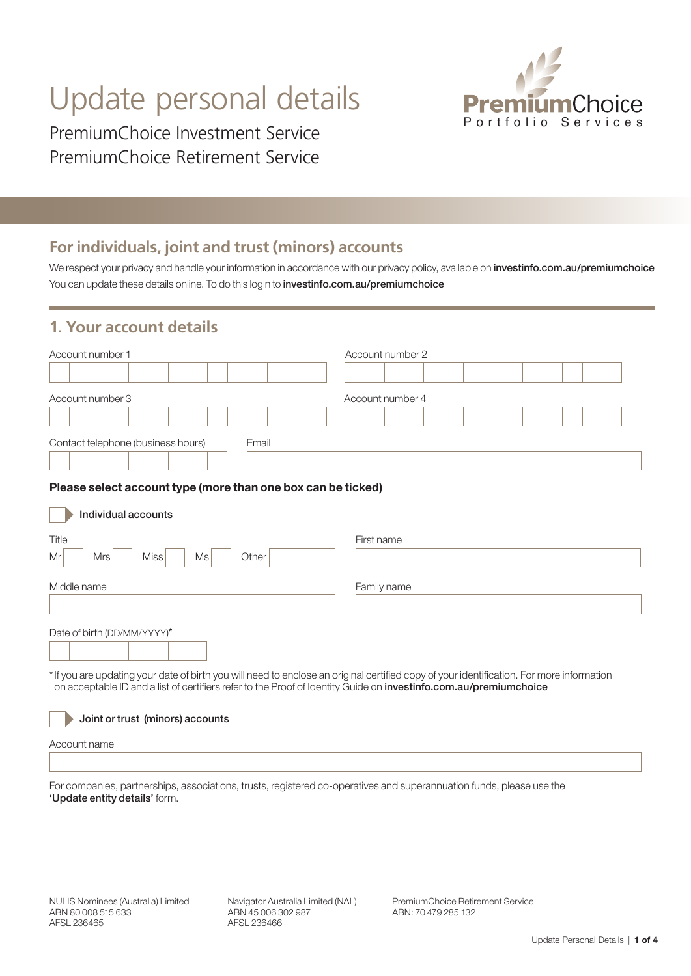# Update personal details

PremiumChoice Investment Service PremiumChoice Retirement Service



# **For individuals, joint and trust (minors) accounts**

We respect your privacy and handle your information in accordance with our privacy policy, available on investinfo.com.au/premiumchoice You can update these details online. To do this login to investinfo.com.au/premiumchoice

## **1. Your account details**

| Account number 1                            | Account number 2 |
|---------------------------------------------|------------------|
|                                             |                  |
| Account number 3                            | Account number 4 |
|                                             |                  |
| Contact telephone (business hours)<br>Email |                  |

#### Please select account type (more than one box can be ticked)

| Individual accounts                                                                                                                                                                                                                                                  |             |
|----------------------------------------------------------------------------------------------------------------------------------------------------------------------------------------------------------------------------------------------------------------------|-------------|
| Title<br>Miss<br><b>Mrs</b><br>Ms<br>Other<br>Mr                                                                                                                                                                                                                     | First name  |
| Middle name                                                                                                                                                                                                                                                          | Family name |
| Date of birth (DD/MM/YYYY)*                                                                                                                                                                                                                                          |             |
| *If you are updating your date of birth you will need to enclose an original certified copy of your identification. For more information<br>on acceptable ID and a list of certifiers refer to the Proof of Identity Guide on <b>investinfo.com.au/premiumchoice</b> |             |

Joint or trust (minors) accounts

Account name

For companies, partnerships, associations, trusts, registered co-operatives and superannuation funds, please use the 'Update entity details' form.

Navigator Australia Limited (NAL) ABN 45 006 302 987 AFSL 236466

PremiumChoice Retirement Service ABN: 70 479 285 132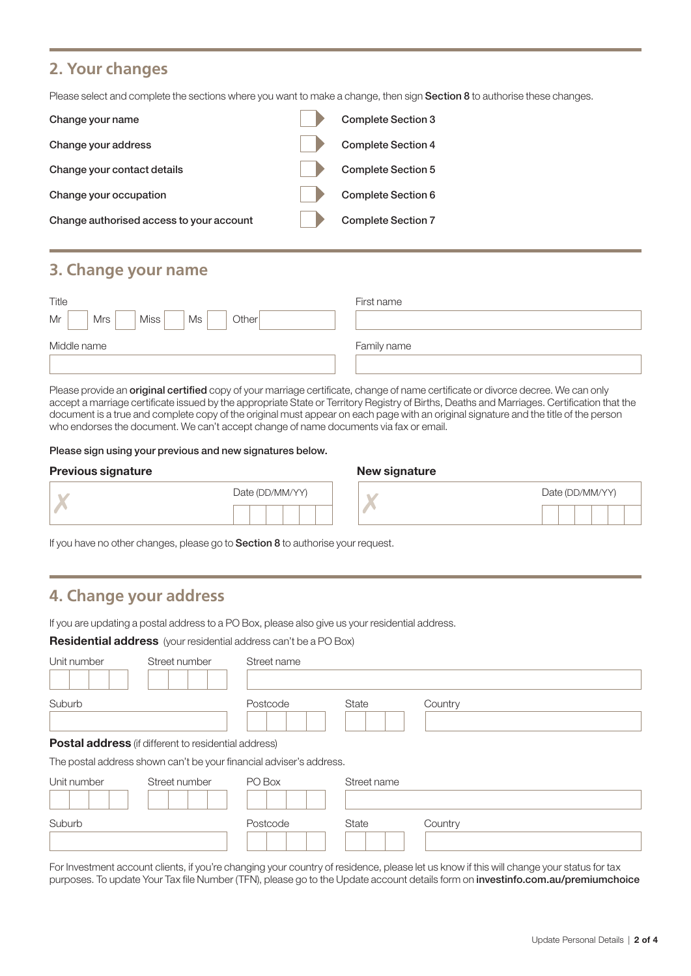## **2. Your changes**

Please select and complete the sections where you want to make a change, then sign Section 8 to authorise these changes.

| Change your name                         | <b>Complete Section 3</b> |
|------------------------------------------|---------------------------|
| Change your address                      | <b>Complete Section 4</b> |
| Change your contact details              | <b>Complete Section 5</b> |
| Change your occupation                   | <b>Complete Section 6</b> |
| Change authorised access to your account | <b>Complete Section 7</b> |

## **3. Change your name**

| Title                            | First name  |
|----------------------------------|-------------|
| Mr<br>Miss<br>Other<br>Mrs<br>Ms |             |
| Middle name                      | Family name |
|                                  |             |

Please provide an **original certified** copy of your marriage certificate, change of name certificate or divorce decree. We can only accept a marriage certificate issued by the appropriate State or Territory Registry of Births, Deaths and Marriages. Certification that the document is a true and complete copy of the original must appear on each page with an original signature and the title of the person who endorses the document. We can't accept change of name documents via fax or email.

#### Please sign using your previous and new signatures below.

#### Previous signature **New signature** New signature

|  |  | Date (DD/MM/YY) |  |
|--|--|-----------------|--|
|  |  |                 |  |

| Date (DD/MM/YY) |  |  |  |  |  |
|-----------------|--|--|--|--|--|
|                 |  |  |  |  |  |

If you have no other changes, please go to **Section 8** to authorise your request.

# **4. Change your address**

If you are updating a postal address to a PO Box, please also give us your residential address.

Residential address (your residential address can't be a PO Box)

| Unit number | Street number                                                       | Street name |             |         |
|-------------|---------------------------------------------------------------------|-------------|-------------|---------|
| Suburb      |                                                                     | Postcode    | State       | Country |
|             | <b>Postal address</b> (if different to residential address)         |             |             |         |
|             | The postal address shown can't be your financial adviser's address. |             |             |         |
| Unit number | Street number                                                       | PO Box      | Street name |         |
| Suburb      |                                                                     | Postcode    | State       | Country |

For Investment account clients, if you're changing your country of residence, please let us know if this will change your status for tax purposes. To update Your Tax file Number (TFN), please go to the Update account details form on investinfo.com.au/premiumchoice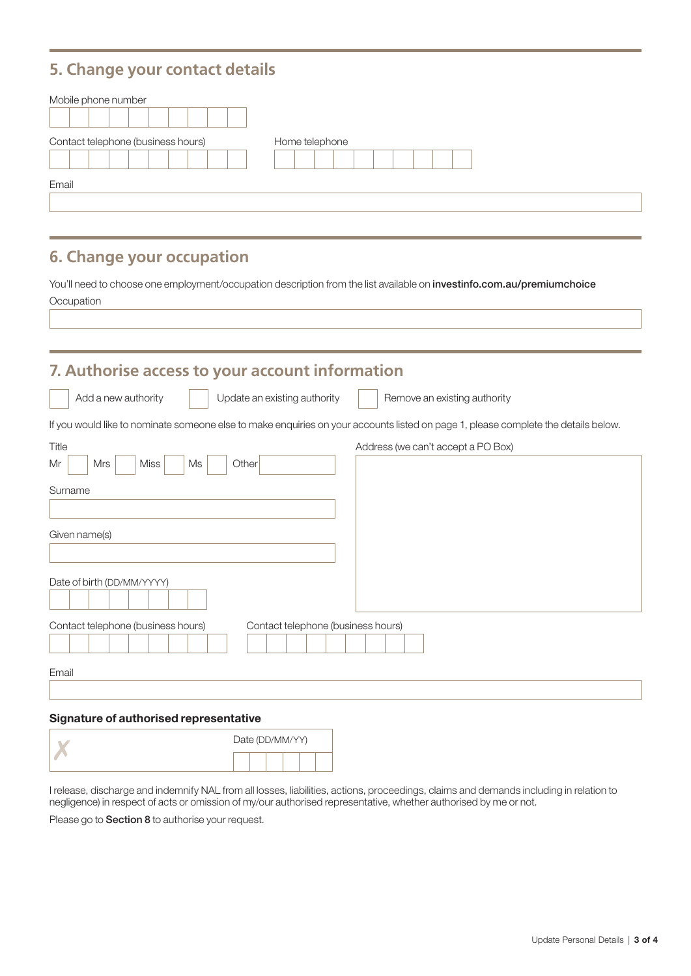## **5. Change your contact details**

| Mobile phone number                |                |
|------------------------------------|----------------|
| Contact telephone (business hours) | Home telephone |
| Email                              |                |

## **6. Change your occupation**

You'll need to choose one employment/occupation description from the list available on investinfo.com.au/premiumchoice **Occupation** 

# **7. Authorise access to your account information**  $\overline{\phantom{a}}$ Add a new authority Update an existing authority Remove an existing authority If you would like to nominate someone else to make enquiries on your accounts listed on page 1, please complete the details below. Title **Address (we can't accept a PO Box)** Address (we can't accept a PO Box)  $Mr$  Mrs Miss Ms Ms Other Surname Given name(s) Date of birth (DD/MM/YYYY) Contact telephone (business hours) Contact telephone (business hours) Email

#### Signature of authorised representative

|  | Date (DD/MM/YY) |  |  |  |  |  |
|--|-----------------|--|--|--|--|--|
|  |                 |  |  |  |  |  |

I release, discharge and indemnify NAL from all losses, liabilities, actions, proceedings, claims and demands including in relation to negligence) in respect of acts or omission of my/our authorised representative, whether authorised by me or not.

Please go to **Section 8** to authorise your request.